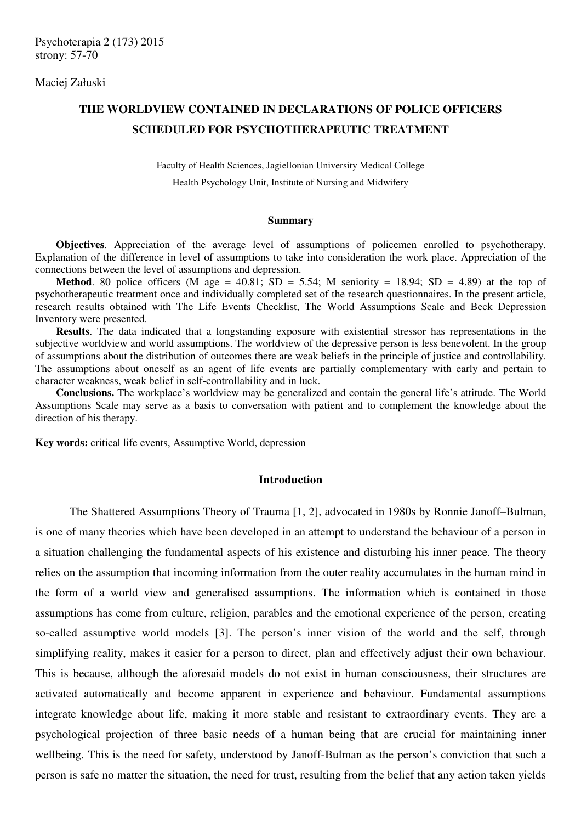Maciej Załuski

# **THE WORLDVIEW CONTAINED IN DECLARATIONS OF POLICE OFFICERS SCHEDULED FOR PSYCHOTHERAPEUTIC TREATMENT**

Faculty of Health Sciences, Jagiellonian University Medical College

Health Psychology Unit, Institute of Nursing and Midwifery

#### **Summary**

**Objectives**. Appreciation of the average level of assumptions of policemen enrolled to psychotherapy. Explanation of the difference in level of assumptions to take into consideration the work place. Appreciation of the connections between the level of assumptions and depression.

**Method**. 80 police officers (M age = 40.81; SD = 5.54; M seniority = 18.94; SD = 4.89) at the top of psychotherapeutic treatment once and individually completed set of the research questionnaires. In the present article, research results obtained with The Life Events Checklist, The World Assumptions Scale and Beck Depression Inventory were presented.

**Results**. The data indicated that a longstanding exposure with existential stressor has representations in the subjective worldview and world assumptions. The worldview of the depressive person is less benevolent. In the group of assumptions about the distribution of outcomes there are weak beliefs in the principle of justice and controllability. The assumptions about oneself as an agent of life events are partially complementary with early and pertain to character weakness, weak belief in self-controllability and in luck.

**Conclusions.** The workplace's worldview may be generalized and contain the general life's attitude. The World Assumptions Scale may serve as a basis to conversation with patient and to complement the knowledge about the direction of his therapy.

**Key words:** critical life events, Assumptive World, depression

## **Introduction**

 The Shattered Assumptions Theory of Trauma [1, 2], advocated in 1980s by Ronnie Janoff–Bulman, is one of many theories which have been developed in an attempt to understand the behaviour of a person in a situation challenging the fundamental aspects of his existence and disturbing his inner peace. The theory relies on the assumption that incoming information from the outer reality accumulates in the human mind in the form of a world view and generalised assumptions. The information which is contained in those assumptions has come from culture, religion, parables and the emotional experience of the person, creating so-called assumptive world models [3]. The person's inner vision of the world and the self, through simplifying reality, makes it easier for a person to direct, plan and effectively adjust their own behaviour. This is because, although the aforesaid models do not exist in human consciousness, their structures are activated automatically and become apparent in experience and behaviour. Fundamental assumptions integrate knowledge about life, making it more stable and resistant to extraordinary events. They are a psychological projection of three basic needs of a human being that are crucial for maintaining inner wellbeing. This is the need for safety, understood by Janoff-Bulman as the person's conviction that such a person is safe no matter the situation, the need for trust, resulting from the belief that any action taken yields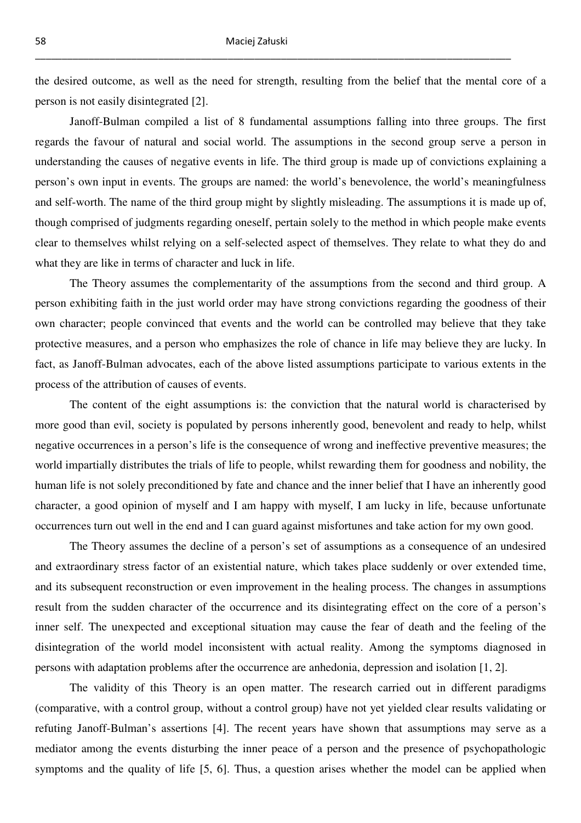the desired outcome, as well as the need for strength, resulting from the belief that the mental core of a person is not easily disintegrated [2].

 Janoff-Bulman compiled a list of 8 fundamental assumptions falling into three groups. The first regards the favour of natural and social world. The assumptions in the second group serve a person in understanding the causes of negative events in life. The third group is made up of convictions explaining a person's own input in events. The groups are named: the world's benevolence, the world's meaningfulness and self-worth. The name of the third group might by slightly misleading. The assumptions it is made up of, though comprised of judgments regarding oneself, pertain solely to the method in which people make events clear to themselves whilst relying on a self-selected aspect of themselves. They relate to what they do and what they are like in terms of character and luck in life.

 The Theory assumes the complementarity of the assumptions from the second and third group. A person exhibiting faith in the just world order may have strong convictions regarding the goodness of their own character; people convinced that events and the world can be controlled may believe that they take protective measures, and a person who emphasizes the role of chance in life may believe they are lucky. In fact, as Janoff-Bulman advocates, each of the above listed assumptions participate to various extents in the process of the attribution of causes of events.

 The content of the eight assumptions is: the conviction that the natural world is characterised by more good than evil, society is populated by persons inherently good, benevolent and ready to help, whilst negative occurrences in a person's life is the consequence of wrong and ineffective preventive measures; the world impartially distributes the trials of life to people, whilst rewarding them for goodness and nobility, the human life is not solely preconditioned by fate and chance and the inner belief that I have an inherently good character, a good opinion of myself and I am happy with myself, I am lucky in life, because unfortunate occurrences turn out well in the end and I can guard against misfortunes and take action for my own good.

 The Theory assumes the decline of a person's set of assumptions as a consequence of an undesired and extraordinary stress factor of an existential nature, which takes place suddenly or over extended time, and its subsequent reconstruction or even improvement in the healing process. The changes in assumptions result from the sudden character of the occurrence and its disintegrating effect on the core of a person's inner self. The unexpected and exceptional situation may cause the fear of death and the feeling of the disintegration of the world model inconsistent with actual reality. Among the symptoms diagnosed in persons with adaptation problems after the occurrence are anhedonia, depression and isolation [1, 2].

 The validity of this Theory is an open matter. The research carried out in different paradigms (comparative, with a control group, without a control group) have not yet yielded clear results validating or refuting Janoff-Bulman's assertions [4]. The recent years have shown that assumptions may serve as a mediator among the events disturbing the inner peace of a person and the presence of psychopathologic symptoms and the quality of life [5, 6]. Thus, a question arises whether the model can be applied when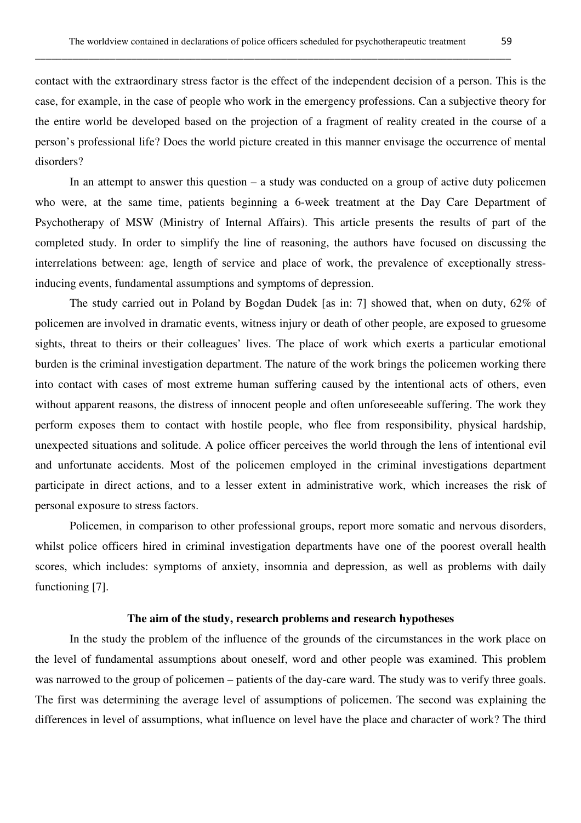contact with the extraordinary stress factor is the effect of the independent decision of a person. This is the case, for example, in the case of people who work in the emergency professions. Can a subjective theory for the entire world be developed based on the projection of a fragment of reality created in the course of a person's professional life? Does the world picture created in this manner envisage the occurrence of mental disorders?

 In an attempt to answer this question – a study was conducted on a group of active duty policemen who were, at the same time, patients beginning a 6-week treatment at the Day Care Department of Psychotherapy of MSW (Ministry of Internal Affairs). This article presents the results of part of the completed study. In order to simplify the line of reasoning, the authors have focused on discussing the interrelations between: age, length of service and place of work, the prevalence of exceptionally stressinducing events, fundamental assumptions and symptoms of depression.

 The study carried out in Poland by Bogdan Dudek [as in: 7] showed that, when on duty, 62% of policemen are involved in dramatic events, witness injury or death of other people, are exposed to gruesome sights, threat to theirs or their colleagues' lives. The place of work which exerts a particular emotional burden is the criminal investigation department. The nature of the work brings the policemen working there into contact with cases of most extreme human suffering caused by the intentional acts of others, even without apparent reasons, the distress of innocent people and often unforeseeable suffering. The work they perform exposes them to contact with hostile people, who flee from responsibility, physical hardship, unexpected situations and solitude. A police officer perceives the world through the lens of intentional evil and unfortunate accidents. Most of the policemen employed in the criminal investigations department participate in direct actions, and to a lesser extent in administrative work, which increases the risk of personal exposure to stress factors.

 Policemen, in comparison to other professional groups, report more somatic and nervous disorders, whilst police officers hired in criminal investigation departments have one of the poorest overall health scores, which includes: symptoms of anxiety, insomnia and depression, as well as problems with daily functioning [7].

## **The aim of the study, research problems and research hypotheses**

 In the study the problem of the influence of the grounds of the circumstances in the work place on the level of fundamental assumptions about oneself, word and other people was examined. This problem was narrowed to the group of policemen – patients of the day-care ward. The study was to verify three goals. The first was determining the average level of assumptions of policemen. The second was explaining the differences in level of assumptions, what influence on level have the place and character of work? The third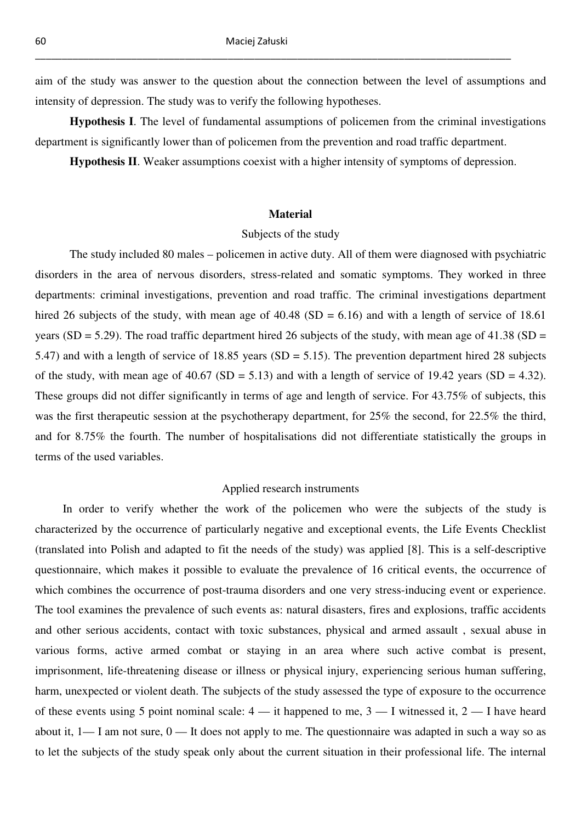aim of the study was answer to the question about the connection between the level of assumptions and intensity of depression. The study was to verify the following hypotheses.

\_\_\_\_\_\_\_\_\_\_\_\_\_\_\_\_\_\_\_\_\_\_\_\_\_\_\_\_\_\_\_\_\_\_\_\_\_\_\_\_\_\_\_\_\_\_\_\_\_\_\_\_\_\_\_\_\_\_\_\_\_\_\_\_\_\_\_\_\_\_\_\_\_\_\_\_\_\_\_\_\_\_\_\_\_\_\_\_\_

 **Hypothesis I**. The level of fundamental assumptions of policemen from the criminal investigations department is significantly lower than of policemen from the prevention and road traffic department.

 **Hypothesis II**. Weaker assumptions coexist with a higher intensity of symptoms of depression.

#### **Material**

#### Subjects of the study

 The study included 80 males – policemen in active duty. All of them were diagnosed with psychiatric disorders in the area of nervous disorders, stress-related and somatic symptoms. They worked in three departments: criminal investigations, prevention and road traffic. The criminal investigations department hired 26 subjects of the study, with mean age of  $40.48$  (SD = 6.16) and with a length of service of 18.61 years (SD = 5.29). The road traffic department hired 26 subjects of the study, with mean age of 41.38 (SD = 5.47) and with a length of service of 18.85 years (SD = 5.15). The prevention department hired 28 subjects of the study, with mean age of 40.67 (SD = 5.13) and with a length of service of 19.42 years (SD = 4.32). These groups did not differ significantly in terms of age and length of service. For 43.75% of subjects, this was the first therapeutic session at the psychotherapy department, for 25% the second, for 22.5% the third, and for 8.75% the fourth. The number of hospitalisations did not differentiate statistically the groups in terms of the used variables.

### Applied research instruments

In order to verify whether the work of the policemen who were the subjects of the study is characterized by the occurrence of particularly negative and exceptional events, the Life Events Checklist (translated into Polish and adapted to fit the needs of the study) was applied [8]. This is a self-descriptive questionnaire, which makes it possible to evaluate the prevalence of 16 critical events, the occurrence of which combines the occurrence of post-trauma disorders and one very stress-inducing event or experience. The tool examines the prevalence of such events as: natural disasters, fires and explosions, traffic accidents and other serious accidents, contact with toxic substances, physical and armed assault , sexual abuse in various forms, active armed combat or staying in an area where such active combat is present, imprisonment, life-threatening disease or illness or physical injury, experiencing serious human suffering, harm, unexpected or violent death. The subjects of the study assessed the type of exposure to the occurrence of these events using 5 point nominal scale:  $4 - i$  thappened to me,  $3 - i$  witnessed it,  $2 - i$  have heard about it,  $1 - I$  am not sure,  $0 - It$  does not apply to me. The questionnaire was adapted in such a way so as to let the subjects of the study speak only about the current situation in their professional life. The internal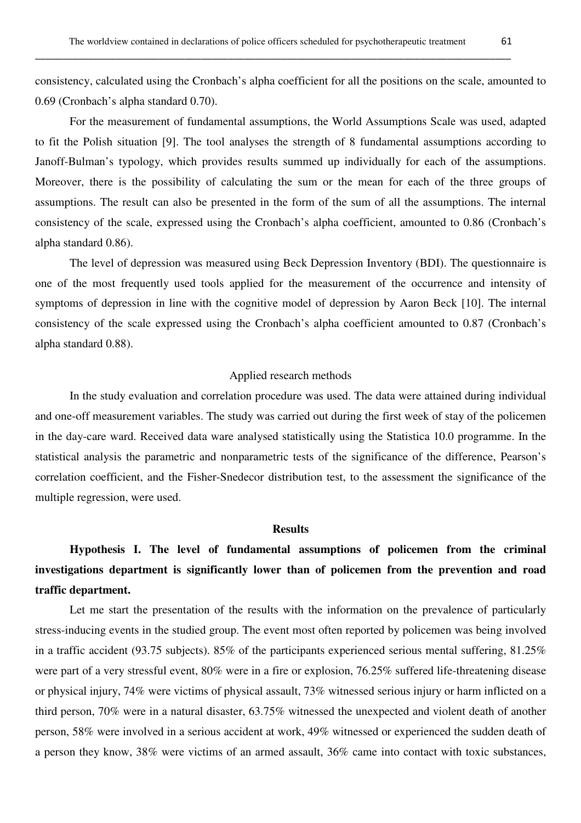consistency, calculated using the Cronbach's alpha coefficient for all the positions on the scale, amounted to 0.69 (Cronbach's alpha standard 0.70).

 For the measurement of fundamental assumptions, the World Assumptions Scale was used, adapted to fit the Polish situation [9]. The tool analyses the strength of 8 fundamental assumptions according to Janoff-Bulman's typology, which provides results summed up individually for each of the assumptions. Moreover, there is the possibility of calculating the sum or the mean for each of the three groups of assumptions. The result can also be presented in the form of the sum of all the assumptions. The internal consistency of the scale, expressed using the Cronbach's alpha coefficient, amounted to 0.86 (Cronbach's alpha standard 0.86).

 The level of depression was measured using Beck Depression Inventory (BDI). The questionnaire is one of the most frequently used tools applied for the measurement of the occurrence and intensity of symptoms of depression in line with the cognitive model of depression by Aaron Beck [10]. The internal consistency of the scale expressed using the Cronbach's alpha coefficient amounted to 0.87 (Cronbach's alpha standard 0.88).

#### Applied research methods

 In the study evaluation and correlation procedure was used. The data were attained during individual and one-off measurement variables. The study was carried out during the first week of stay of the policemen in the day-care ward. Received data ware analysed statistically using the Statistica 10.0 programme. In the statistical analysis the parametric and nonparametric tests of the significance of the difference, Pearson's correlation coefficient, and the Fisher-Snedecor distribution test, to the assessment the significance of the multiple regression, were used.

## **Results**

# **Hypothesis I. The level of fundamental assumptions of policemen from the criminal investigations department is significantly lower than of policemen from the prevention and road traffic department.**

 Let me start the presentation of the results with the information on the prevalence of particularly stress-inducing events in the studied group. The event most often reported by policemen was being involved in a traffic accident (93.75 subjects). 85% of the participants experienced serious mental suffering, 81.25% were part of a very stressful event, 80% were in a fire or explosion, 76.25% suffered life-threatening disease or physical injury, 74% were victims of physical assault, 73% witnessed serious injury or harm inflicted on a third person, 70% were in a natural disaster, 63.75% witnessed the unexpected and violent death of another person, 58% were involved in a serious accident at work, 49% witnessed or experienced the sudden death of a person they know, 38% were victims of an armed assault, 36% came into contact with toxic substances,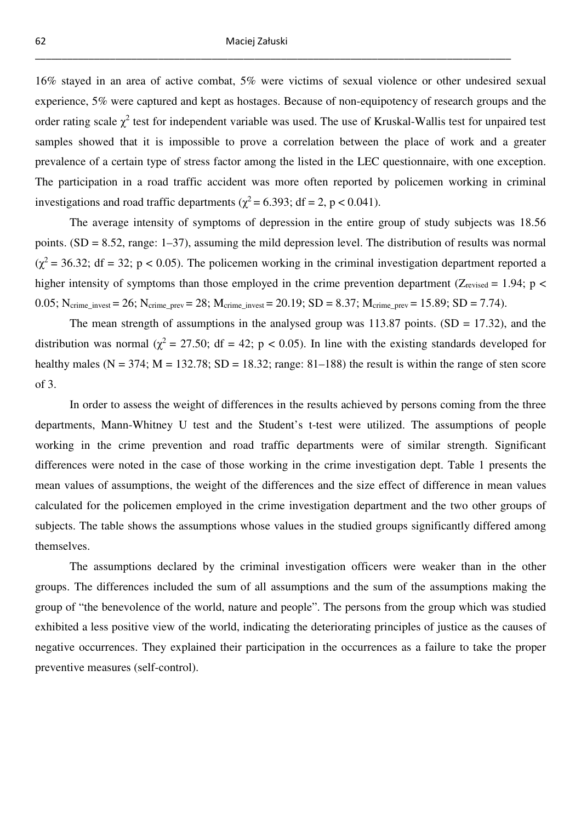16% stayed in an area of active combat, 5% were victims of sexual violence or other undesired sexual experience, 5% were captured and kept as hostages. Because of non-equipotency of research groups and the order rating scale  $\chi^2$  test for independent variable was used. The use of Kruskal-Wallis test for unpaired test samples showed that it is impossible to prove a correlation between the place of work and a greater prevalence of a certain type of stress factor among the listed in the LEC questionnaire, with one exception. The participation in a road traffic accident was more often reported by policemen working in criminal investigations and road traffic departments ( $\chi^2$  = 6.393; df = 2, p < 0.041).

 The average intensity of symptoms of depression in the entire group of study subjects was 18.56 points. (SD = 8.52, range: 1–37), assuming the mild depression level. The distribution of results was normal  $(\chi^2 = 36.32; df = 32; p < 0.05)$ . The policemen working in the criminal investigation department reported a higher intensity of symptoms than those employed in the crime prevention department ( $Z_{\text{revised}} = 1.94$ ; p < 0.05; N<sub>crime\_invest</sub> = 26; N<sub>crime\_prev</sub> = 28; M<sub>crime\_invest</sub> = 20.19; SD = 8.37; M<sub>crime\_prev</sub> = 15.89; SD = 7.74).

The mean strength of assumptions in the analysed group was  $113.87$  points. (SD = 17.32), and the distribution was normal ( $\chi^2$  = 27.50; df = 42; p < 0.05). In line with the existing standards developed for healthy males ( $N = 374$ ;  $M = 132.78$ ;  $SD = 18.32$ ; range: 81–188) the result is within the range of sten score of 3.

 In order to assess the weight of differences in the results achieved by persons coming from the three departments, Mann-Whitney U test and the Student's t-test were utilized. The assumptions of people working in the crime prevention and road traffic departments were of similar strength. Significant differences were noted in the case of those working in the crime investigation dept. Table 1 presents the mean values of assumptions, the weight of the differences and the size effect of difference in mean values calculated for the policemen employed in the crime investigation department and the two other groups of subjects. The table shows the assumptions whose values in the studied groups significantly differed among themselves.

 The assumptions declared by the criminal investigation officers were weaker than in the other groups. The differences included the sum of all assumptions and the sum of the assumptions making the group of "the benevolence of the world, nature and people". The persons from the group which was studied exhibited a less positive view of the world, indicating the deteriorating principles of justice as the causes of negative occurrences. They explained their participation in the occurrences as a failure to take the proper preventive measures (self-control).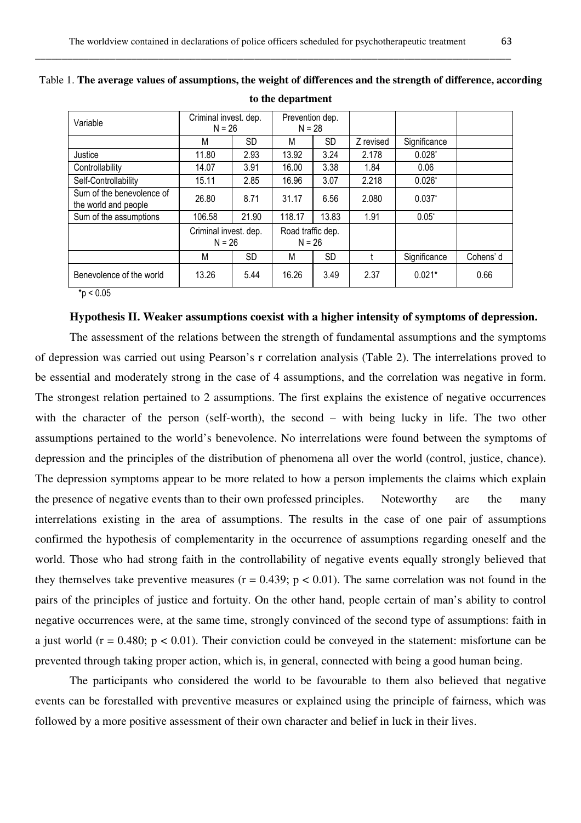| Variable                                          | Criminal invest. dep.<br>$N = 26$ |       | Prevention dep.<br>$N = 28$   |           |           |                      |           |
|---------------------------------------------------|-----------------------------------|-------|-------------------------------|-----------|-----------|----------------------|-----------|
|                                                   | M                                 | SD    | M                             | SD.       | Z revised | Significance         |           |
| Justice                                           | 11.80                             | 2.93  | 13.92                         | 3.24      | 2.178     | $0.028^{*}$          |           |
| Controllability                                   | 14.07                             | 3.91  | 16.00                         | 3.38      | 1.84      | 0.06                 |           |
| Self-Controllability                              | 15.11                             | 2.85  | 16.96                         | 3.07      | 2.218     | $0.026*$             |           |
| Sum of the benevolence of<br>the world and people | 26.80                             | 8.71  | 31.17                         | 6.56      | 2.080     | $0.037$ <sup>*</sup> |           |
| Sum of the assumptions                            | 106.58                            | 21.90 | 118.17                        | 13.83     | 1.91      | $0.05^*$             |           |
|                                                   | Criminal invest. dep.<br>$N = 26$ |       | Road traffic dep.<br>$N = 26$ |           |           |                      |           |
|                                                   | M                                 | SD    | M                             | <b>SD</b> |           | Significance         | Cohens' d |
| Benevolence of the world                          | 13.26                             | 5.44  | 16.26                         | 3.49      | 2.37      | $0.021*$             | 0.66      |

| Table 1. The average values of assumptions, the weight of differences and the strength of difference, according |                   |  |  |
|-----------------------------------------------------------------------------------------------------------------|-------------------|--|--|
|                                                                                                                 | to the department |  |  |

 $*_{p}$  < 0.05

## **Hypothesis II. Weaker assumptions coexist with a higher intensity of symptoms of depression.**

 The assessment of the relations between the strength of fundamental assumptions and the symptoms of depression was carried out using Pearson's r correlation analysis (Table 2). The interrelations proved to be essential and moderately strong in the case of 4 assumptions, and the correlation was negative in form. The strongest relation pertained to 2 assumptions. The first explains the existence of negative occurrences with the character of the person (self-worth), the second – with being lucky in life. The two other assumptions pertained to the world's benevolence. No interrelations were found between the symptoms of depression and the principles of the distribution of phenomena all over the world (control, justice, chance). The depression symptoms appear to be more related to how a person implements the claims which explain the presence of negative events than to their own professed principles. Noteworthy are the many interrelations existing in the area of assumptions. The results in the case of one pair of assumptions confirmed the hypothesis of complementarity in the occurrence of assumptions regarding oneself and the world. Those who had strong faith in the controllability of negative events equally strongly believed that they themselves take preventive measures ( $r = 0.439$ ;  $p < 0.01$ ). The same correlation was not found in the pairs of the principles of justice and fortuity. On the other hand, people certain of man's ability to control negative occurrences were, at the same time, strongly convinced of the second type of assumptions: faith in a just world ( $r = 0.480$ ;  $p < 0.01$ ). Their conviction could be conveyed in the statement: misfortune can be prevented through taking proper action, which is, in general, connected with being a good human being.

 The participants who considered the world to be favourable to them also believed that negative events can be forestalled with preventive measures or explained using the principle of fairness, which was followed by a more positive assessment of their own character and belief in luck in their lives.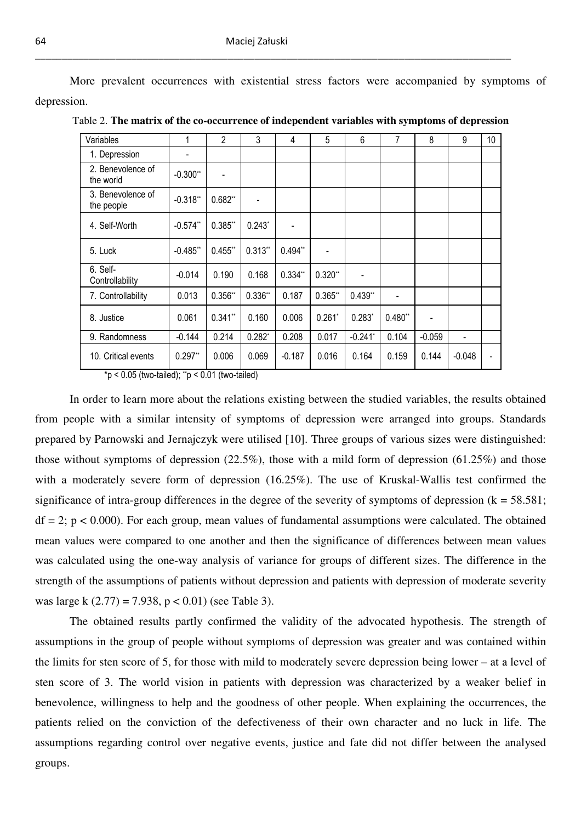More prevalent occurrences with existential stress factors were accompanied by symptoms of depression.

| Variables                                                                           | 1                            | $\overline{2}$ | 3         | 4         | 5         | 6          | 7         | 8        | 9        | 10 |
|-------------------------------------------------------------------------------------|------------------------------|----------------|-----------|-----------|-----------|------------|-----------|----------|----------|----|
| 1. Depression                                                                       | $\qquad \qquad \blacksquare$ |                |           |           |           |            |           |          |          |    |
| 2. Benevolence of<br>the world                                                      | $-0.300**$                   |                |           |           |           |            |           |          |          |    |
| 3. Benevolence of<br>the people                                                     | $-0.318"$                    | $0.682**$      |           |           |           |            |           |          |          |    |
| 4. Self-Worth                                                                       | $-0.574$ **                  | $0.385$ **     | $0.243*$  |           |           |            |           |          |          |    |
| 5. Luck                                                                             | $-0.485"$                    | $0.455$ **     | $0.313**$ | $0.494**$ |           |            |           |          |          |    |
| 6. Self-<br>Controllability                                                         | $-0.014$                     | 0.190          | 0.168     | $0.334**$ | $0.320**$ |            |           |          |          |    |
| 7. Controllability                                                                  | 0.013                        | $0.356**$      | $0.336**$ | 0.187     | $0.365**$ | $0.439**$  |           |          |          |    |
| 8. Justice                                                                          | 0.061                        | $0.341**$      | 0.160     | 0.006     | $0.261*$  | $0.283*$   | $0.480**$ |          |          |    |
| 9. Randomness                                                                       | $-0.144$                     | 0.214          | $0.282*$  | 0.208     | 0.017     | $-0.241$ * | 0.104     | $-0.059$ |          |    |
| 10. Critical events                                                                 | $0.297**$                    | 0.006          | 0.069     | $-0.187$  | 0.016     | 0.164      | 0.159     | 0.144    | $-0.048$ |    |
| $\star_{\alpha}$ / 0.05 (to the tail and $\star_{\alpha}$ / 0.04 (to the tail and ) |                              |                |           |           |           |            |           |          |          |    |

Table 2. **The matrix of the co-occurrence of independent variables with symptoms of depression**

\*p < 0.05 (two-tailed); \*\*p < 0.01 (two-tailed)

 In order to learn more about the relations existing between the studied variables, the results obtained from people with a similar intensity of symptoms of depression were arranged into groups. Standards prepared by Parnowski and Jernajczyk were utilised [10]. Three groups of various sizes were distinguished: those without symptoms of depression (22.5%), those with a mild form of depression (61.25%) and those with a moderately severe form of depression (16.25%). The use of Kruskal-Wallis test confirmed the significance of intra-group differences in the degree of the severity of symptoms of depression  $(k = 58.581)$ ;  $df = 2$ ;  $p < 0.000$ ). For each group, mean values of fundamental assumptions were calculated. The obtained mean values were compared to one another and then the significance of differences between mean values was calculated using the one-way analysis of variance for groups of different sizes. The difference in the strength of the assumptions of patients without depression and patients with depression of moderate severity was large k  $(2.77) = 7.938$ ,  $p < 0.01$ ) (see Table 3).

 The obtained results partly confirmed the validity of the advocated hypothesis. The strength of assumptions in the group of people without symptoms of depression was greater and was contained within the limits for sten score of 5, for those with mild to moderately severe depression being lower – at a level of sten score of 3. The world vision in patients with depression was characterized by a weaker belief in benevolence, willingness to help and the goodness of other people. When explaining the occurrences, the patients relied on the conviction of the defectiveness of their own character and no luck in life. The assumptions regarding control over negative events, justice and fate did not differ between the analysed groups.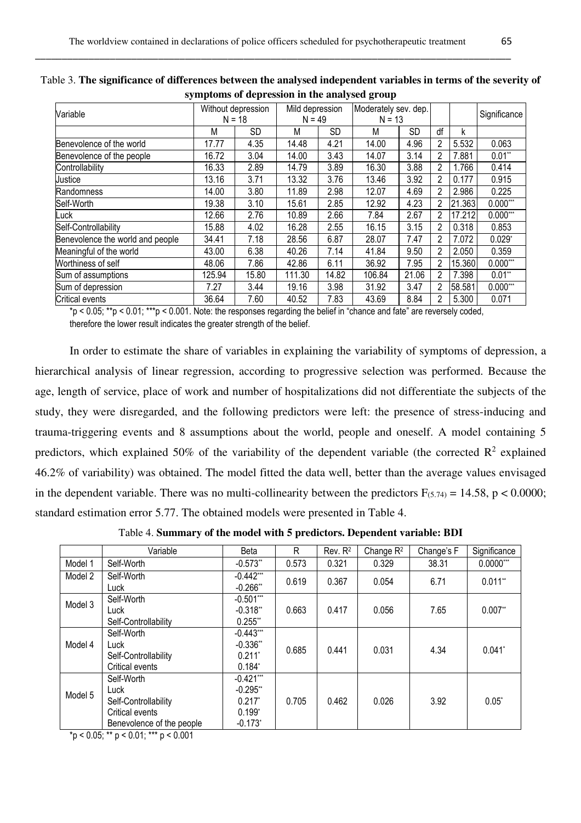| Without depression<br>$N = 18$ |       | Mild depression<br>$N = 49$ |           | Moderately sev. dep.<br>$N = 13$ |       |                |        | Significance |
|--------------------------------|-------|-----------------------------|-----------|----------------------------------|-------|----------------|--------|--------------|
|                                |       |                             |           |                                  |       |                |        |              |
| М                              | SD.   | М                           | <b>SD</b> | М                                | SD    | df             | k      |              |
| 17.77                          | 4.35  | 14.48                       | 4.21      | 14.00                            | 4.96  | 2              | 5.532  | 0.063        |
| 16.72                          | 3.04  | 14.00                       | 3.43      | 14.07                            | 3.14  | 2              | 7.881  | $0.01**$     |
| 16.33                          | 2.89  | 14.79                       | 3.89      | 16.30                            | 3.88  | 2              | 1.766  | 0.414        |
| 13.16                          | 3.71  | 13.32                       | 3.76      | 13.46                            | 3.92  | $\overline{2}$ | 0.177  | 0.915        |
| 14.00                          | 3.80  | 11.89                       | 2.98      | 12.07                            | 4.69  | $\mathfrak{p}$ | 2.986  | 0.225        |
| 19.38                          | 3.10  | 15.61                       | 2.85      | 12.92                            | 4.23  | 2              | 21.363 | $0.000***$   |
| 12.66                          | 2.76  | 10.89                       | 2.66      | 7.84                             | 2.67  | 2              | 17.212 | $0.000***$   |
| 15.88                          | 4.02  | 16.28                       | 2.55      | 16.15                            | 3.15  | $\overline{2}$ | 0.318  | 0.853        |
| 34.41                          | 7.18  | 28.56                       | 6.87      | 28.07                            | 7.47  | 2              | 7.072  | $0.029*$     |
| 43.00                          | 6.38  | 40.26                       | 7.14      | 41.84                            | 9.50  | 2              | 2.050  | 0.359        |
| 48.06                          | 7.86  | 42.86                       | 6.11      | 36.92                            | 7.95  | $\overline{2}$ | 15.360 | $0.000***$   |
| 125.94                         | 15.80 | 111.30                      | 14.82     | 106.84                           | 21.06 | $\overline{2}$ | 7.398  | $0.01**$     |
| 7.27                           | 3.44  | 19.16                       | 3.98      | 31.92                            | 3.47  | $\overline{2}$ |        | $0.000***$   |
| 36.64                          | 7.60  | 40.52                       | 7.83      | 43.69                            | 8.84  | 2              | 5.300  | 0.071        |
|                                |       |                             |           |                                  |       |                |        | 58.581       |

Table 3. **The significance of differences between the analysed independent variables in terms of the severity of symptoms of depression in the analysed group**

\*p < 0.05; \*\*p < 0.01; \*\*\*p < 0.001. Note: the responses regarding the belief in "chance and fate" are reversely coded, therefore the lower result indicates the greater strength of the belief.

 In order to estimate the share of variables in explaining the variability of symptoms of depression, a hierarchical analysis of linear regression, according to progressive selection was performed. Because the age, length of service, place of work and number of hospitalizations did not differentiate the subjects of the study, they were disregarded, and the following predictors were left: the presence of stress-inducing and trauma-triggering events and 8 assumptions about the world, people and oneself. A model containing 5 predictors, which explained 50% of the variability of the dependent variable (the corrected  $\mathbb{R}^2$  explained 46.2% of variability) was obtained. The model fitted the data well, better than the average values envisaged in the dependent variable. There was no multi-collinearity between the predictors  $F_{(5,74)} = 14.58$ , p < 0.0000; standard estimation error 5.77. The obtained models were presented in Table 4.

Table 4. **Summary of the model with 5 predictors. Dependent variable: BDI**

|         | Variable                  | Beta                  | R     | Rev. R <sup>2</sup> | Change $R^2$ | Change's F | Significance         |
|---------|---------------------------|-----------------------|-------|---------------------|--------------|------------|----------------------|
| Model 1 | Self-Worth                | $-0.573$ **           | 0.573 | 0.321               | 0.329        | 38.31      | $0.0000***$          |
| Model 2 | Self-Worth                | $-0.442***$           | 0.619 | 0.367               | 0.054        | 6.71       | $0.011**$            |
|         | Luck                      | $-0.266$ **           |       |                     |              |            |                      |
| Model 3 | Self-Worth                | $-0.501***$           |       |                     |              |            |                      |
|         | Luck                      | $-0.318**$            | 0.663 | 0.417               | 0.056        | 7.65       | $0.007$ **           |
|         | Self-Controllability      | $0.255$ **            |       |                     |              |            |                      |
|         | Self-Worth                | $-0.443***$           |       |                     |              |            |                      |
| Model 4 | Luck                      | $-0.336"$             |       | 0.441               | 0.031        | 4.34       | $0.041$ <sup>*</sup> |
|         | Self-Controllability      | $0.211$ <sup>*</sup>  | 0.685 |                     |              |            |                      |
|         | Critical events           | $0.184*$              |       |                     |              |            |                      |
|         | Self-Worth                | $-0.421***$           |       |                     |              |            |                      |
| Model 5 | Luck                      | $-0.295"$             |       | 0.462               | 0.026        | 3.92       | $0.05*$              |
|         | Self-Controllability      | $0.217$ <sup>*</sup>  | 0.705 |                     |              |            |                      |
|         | Critical events           | $0.199*$              |       |                     |              |            |                      |
|         | Benevolence of the people | $-0.173$ <sup>*</sup> |       |                     |              |            |                      |

 $p$  < 0.05; \*\* p < 0.01; \*\*\* p < 0.001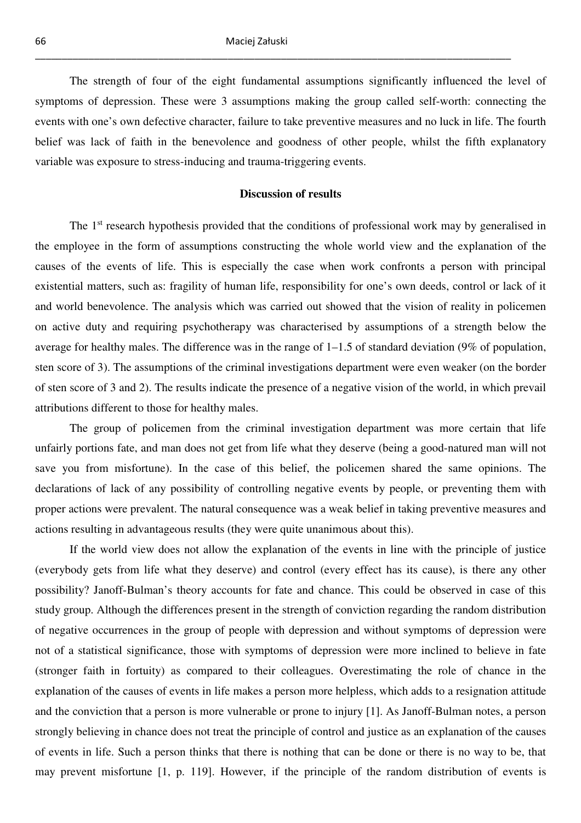The strength of four of the eight fundamental assumptions significantly influenced the level of symptoms of depression. These were 3 assumptions making the group called self-worth: connecting the events with one's own defective character, failure to take preventive measures and no luck in life. The fourth belief was lack of faith in the benevolence and goodness of other people, whilst the fifth explanatory variable was exposure to stress-inducing and trauma-triggering events.

### **Discussion of results**

The 1<sup>st</sup> research hypothesis provided that the conditions of professional work may by generalised in the employee in the form of assumptions constructing the whole world view and the explanation of the causes of the events of life. This is especially the case when work confronts a person with principal existential matters, such as: fragility of human life, responsibility for one's own deeds, control or lack of it and world benevolence. The analysis which was carried out showed that the vision of reality in policemen on active duty and requiring psychotherapy was characterised by assumptions of a strength below the average for healthy males. The difference was in the range of 1–1.5 of standard deviation (9% of population, sten score of 3). The assumptions of the criminal investigations department were even weaker (on the border of sten score of 3 and 2). The results indicate the presence of a negative vision of the world, in which prevail attributions different to those for healthy males.

 The group of policemen from the criminal investigation department was more certain that life unfairly portions fate, and man does not get from life what they deserve (being a good-natured man will not save you from misfortune). In the case of this belief, the policemen shared the same opinions. The declarations of lack of any possibility of controlling negative events by people, or preventing them with proper actions were prevalent. The natural consequence was a weak belief in taking preventive measures and actions resulting in advantageous results (they were quite unanimous about this).

 If the world view does not allow the explanation of the events in line with the principle of justice (everybody gets from life what they deserve) and control (every effect has its cause), is there any other possibility? Janoff-Bulman's theory accounts for fate and chance. This could be observed in case of this study group. Although the differences present in the strength of conviction regarding the random distribution of negative occurrences in the group of people with depression and without symptoms of depression were not of a statistical significance, those with symptoms of depression were more inclined to believe in fate (stronger faith in fortuity) as compared to their colleagues. Overestimating the role of chance in the explanation of the causes of events in life makes a person more helpless, which adds to a resignation attitude and the conviction that a person is more vulnerable or prone to injury [1]. As Janoff-Bulman notes, a person strongly believing in chance does not treat the principle of control and justice as an explanation of the causes of events in life. Such a person thinks that there is nothing that can be done or there is no way to be, that may prevent misfortune [1, p. 119]. However, if the principle of the random distribution of events is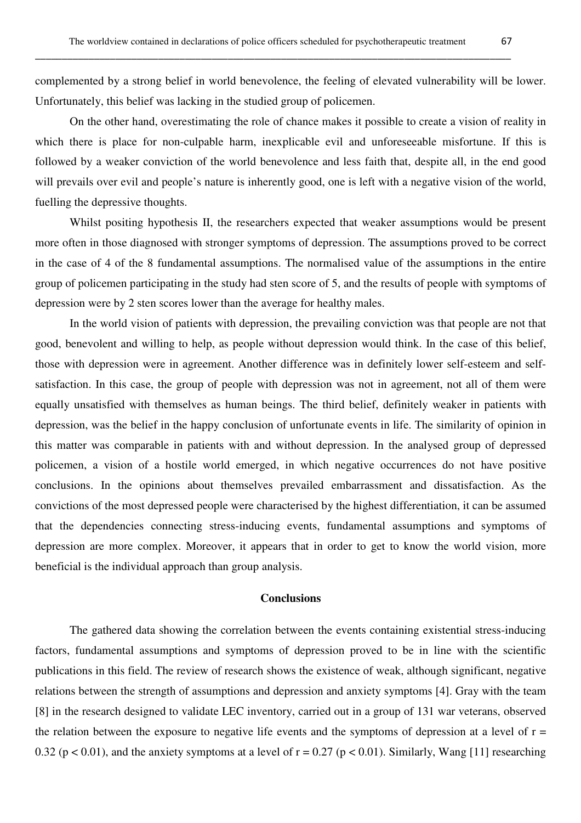complemented by a strong belief in world benevolence, the feeling of elevated vulnerability will be lower. Unfortunately, this belief was lacking in the studied group of policemen.

 On the other hand, overestimating the role of chance makes it possible to create a vision of reality in which there is place for non-culpable harm, inexplicable evil and unforeseeable misfortune. If this is followed by a weaker conviction of the world benevolence and less faith that, despite all, in the end good will prevails over evil and people's nature is inherently good, one is left with a negative vision of the world, fuelling the depressive thoughts.

Whilst positing hypothesis II, the researchers expected that weaker assumptions would be present more often in those diagnosed with stronger symptoms of depression. The assumptions proved to be correct in the case of 4 of the 8 fundamental assumptions. The normalised value of the assumptions in the entire group of policemen participating in the study had sten score of 5, and the results of people with symptoms of depression were by 2 sten scores lower than the average for healthy males.

 In the world vision of patients with depression, the prevailing conviction was that people are not that good, benevolent and willing to help, as people without depression would think. In the case of this belief, those with depression were in agreement. Another difference was in definitely lower self-esteem and selfsatisfaction. In this case, the group of people with depression was not in agreement, not all of them were equally unsatisfied with themselves as human beings. The third belief, definitely weaker in patients with depression, was the belief in the happy conclusion of unfortunate events in life. The similarity of opinion in this matter was comparable in patients with and without depression. In the analysed group of depressed policemen, a vision of a hostile world emerged, in which negative occurrences do not have positive conclusions. In the opinions about themselves prevailed embarrassment and dissatisfaction. As the convictions of the most depressed people were characterised by the highest differentiation, it can be assumed that the dependencies connecting stress-inducing events, fundamental assumptions and symptoms of depression are more complex. Moreover, it appears that in order to get to know the world vision, more beneficial is the individual approach than group analysis.

### **Conclusions**

 The gathered data showing the correlation between the events containing existential stress-inducing factors, fundamental assumptions and symptoms of depression proved to be in line with the scientific publications in this field. The review of research shows the existence of weak, although significant, negative relations between the strength of assumptions and depression and anxiety symptoms [4]. Gray with the team [8] in the research designed to validate LEC inventory, carried out in a group of 131 war veterans, observed the relation between the exposure to negative life events and the symptoms of depression at a level of  $r =$ 0.32 ( $p < 0.01$ ), and the anxiety symptoms at a level of  $r = 0.27$  ( $p < 0.01$ ). Similarly, Wang [11] researching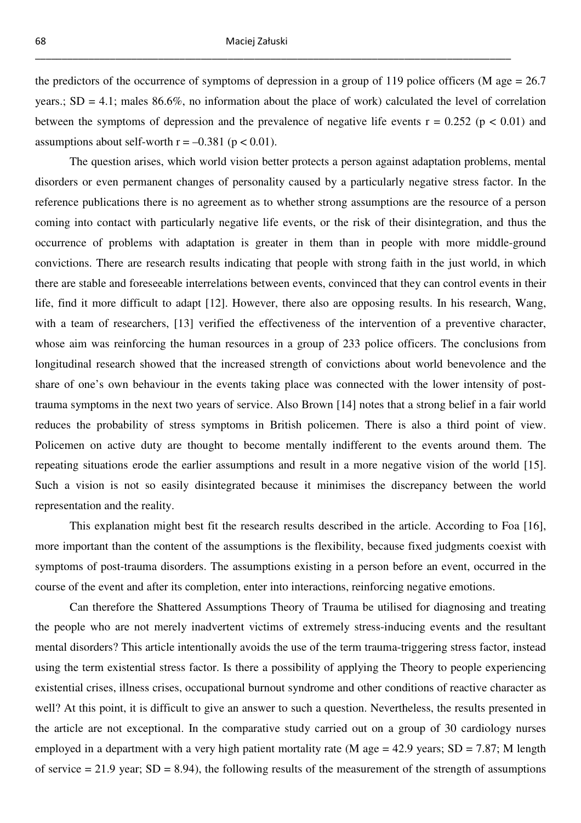the predictors of the occurrence of symptoms of depression in a group of 119 police officers (M age  $= 26.7$ ) years.;  $SD = 4.1$ ; males 86.6%, no information about the place of work) calculated the level of correlation between the symptoms of depression and the prevalence of negative life events  $r = 0.252$  ( $p < 0.01$ ) and assumptions about self-worth  $r = -0.381$  ( $p < 0.01$ ).

 The question arises, which world vision better protects a person against adaptation problems, mental disorders or even permanent changes of personality caused by a particularly negative stress factor. In the reference publications there is no agreement as to whether strong assumptions are the resource of a person coming into contact with particularly negative life events, or the risk of their disintegration, and thus the occurrence of problems with adaptation is greater in them than in people with more middle-ground convictions. There are research results indicating that people with strong faith in the just world, in which there are stable and foreseeable interrelations between events, convinced that they can control events in their life, find it more difficult to adapt [12]. However, there also are opposing results. In his research, Wang, with a team of researchers, [13] verified the effectiveness of the intervention of a preventive character, whose aim was reinforcing the human resources in a group of 233 police officers. The conclusions from longitudinal research showed that the increased strength of convictions about world benevolence and the share of one's own behaviour in the events taking place was connected with the lower intensity of posttrauma symptoms in the next two years of service. Also Brown [14] notes that a strong belief in a fair world reduces the probability of stress symptoms in British policemen. There is also a third point of view. Policemen on active duty are thought to become mentally indifferent to the events around them. The repeating situations erode the earlier assumptions and result in a more negative vision of the world [15]. Such a vision is not so easily disintegrated because it minimises the discrepancy between the world representation and the reality.

 This explanation might best fit the research results described in the article. According to Foa [16], more important than the content of the assumptions is the flexibility, because fixed judgments coexist with symptoms of post-trauma disorders. The assumptions existing in a person before an event, occurred in the course of the event and after its completion, enter into interactions, reinforcing negative emotions.

 Can therefore the Shattered Assumptions Theory of Trauma be utilised for diagnosing and treating the people who are not merely inadvertent victims of extremely stress-inducing events and the resultant mental disorders? This article intentionally avoids the use of the term trauma-triggering stress factor, instead using the term existential stress factor. Is there a possibility of applying the Theory to people experiencing existential crises, illness crises, occupational burnout syndrome and other conditions of reactive character as well? At this point, it is difficult to give an answer to such a question. Nevertheless, the results presented in the article are not exceptional. In the comparative study carried out on a group of 30 cardiology nurses employed in a department with a very high patient mortality rate (M age  $= 42.9$  years; SD  $= 7.87$ ; M length of service  $= 21.9$  year; SD  $= 8.94$ ), the following results of the measurement of the strength of assumptions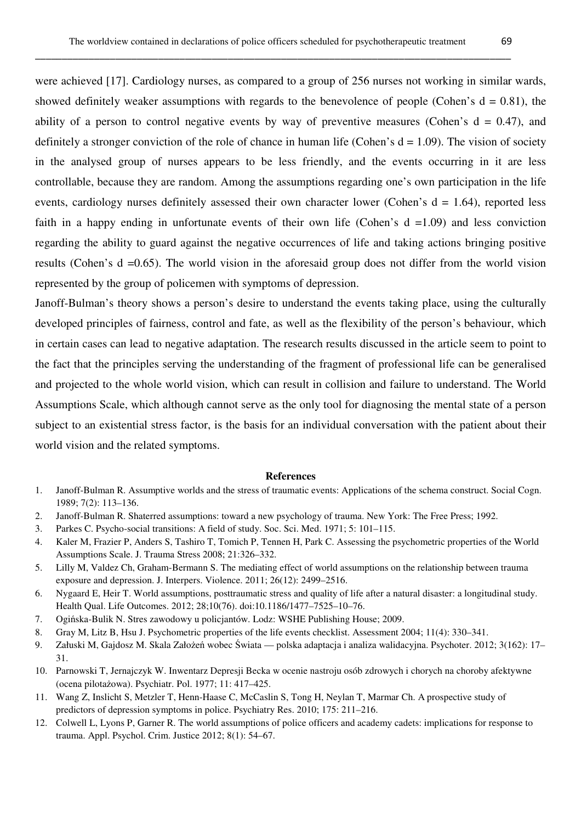were achieved [17]. Cardiology nurses, as compared to a group of 256 nurses not working in similar wards, showed definitely weaker assumptions with regards to the benevolence of people (Cohen's  $d = 0.81$ ), the ability of a person to control negative events by way of preventive measures (Cohen's  $d = 0.47$ ), and definitely a stronger conviction of the role of chance in human life (Cohen's  $d = 1.09$ ). The vision of society in the analysed group of nurses appears to be less friendly, and the events occurring in it are less controllable, because they are random. Among the assumptions regarding one's own participation in the life events, cardiology nurses definitely assessed their own character lower (Cohen's  $d = 1.64$ ), reported less faith in a happy ending in unfortunate events of their own life (Cohen's  $d = 1.09$ ) and less conviction regarding the ability to guard against the negative occurrences of life and taking actions bringing positive results (Cohen's d =0.65). The world vision in the aforesaid group does not differ from the world vision represented by the group of policemen with symptoms of depression.

Janoff-Bulman's theory shows a person's desire to understand the events taking place, using the culturally developed principles of fairness, control and fate, as well as the flexibility of the person's behaviour, which in certain cases can lead to negative adaptation. The research results discussed in the article seem to point to the fact that the principles serving the understanding of the fragment of professional life can be generalised and projected to the whole world vision, which can result in collision and failure to understand. The World Assumptions Scale, which although cannot serve as the only tool for diagnosing the mental state of a person subject to an existential stress factor, is the basis for an individual conversation with the patient about their world vision and the related symptoms.

#### **References**

- 1. Janoff-Bulman R. Assumptive worlds and the stress of traumatic events: Applications of the schema construct. Social Cogn. 1989; 7(2): 113–136.
- 2. Janoff-Bulman R. Shaterred assumptions: toward a new psychology of trauma. New York: The Free Press; 1992.
- 3. Parkes C. Psycho-social transitions: A field of study. Soc. Sci. Med. 1971; 5: 101–115.
- 4. Kaler M, Frazier P, Anders S, Tashiro T, Tomich P, Tennen H, Park C. Assessing the psychometric properties of the World Assumptions Scale. J. Trauma Stress 2008; 21:326–332.
- 5. Lilly M, Valdez Ch, Graham-Bermann S. The mediating effect of world assumptions on the relationship between trauma exposure and depression. J. Interpers. Violence. 2011; 26(12): 2499–2516.
- 6. Nygaard E, Heir T. World assumptions, posttraumatic stress and quality of life after a natural disaster: a longitudinal study. Health Qual. Life Outcomes. 2012; 28;10(76). doi:10.1186/1477–7525–10–76.
- 7. Ogińska-Bulik N. Stres zawodowy u policjantów. Lodz: WSHE Publishing House; 2009.
- 8. Gray M, Litz B, Hsu J. Psychometric properties of the life events checklist. Assessment 2004; 11(4): 330–341.
- 9. Załuski M, Gajdosz M. Skala Założeń wobec Świata polska adaptacja i analiza walidacyjna. Psychoter. 2012; 3(162): 17– 31.
- 10. Parnowski T, Jernajczyk W. Inwentarz Depresji Becka w ocenie nastroju osób zdrowych i chorych na choroby afektywne (ocena pilotażowa). Psychiatr. Pol. 1977; 11: 417–425.
- 11. Wang Z, Inslicht S, Metzler T, Henn-Haase C, McCaslin S, Tong H, Neylan T, Marmar Ch. A prospective study of predictors of depression symptoms in police. Psychiatry Res. 2010; 175: 211–216.
- 12. Colwell L, Lyons P, Garner R. The world assumptions of police officers and academy cadets: implications for response to trauma. Appl. Psychol. Crim. Justice 2012; 8(1): 54–67.